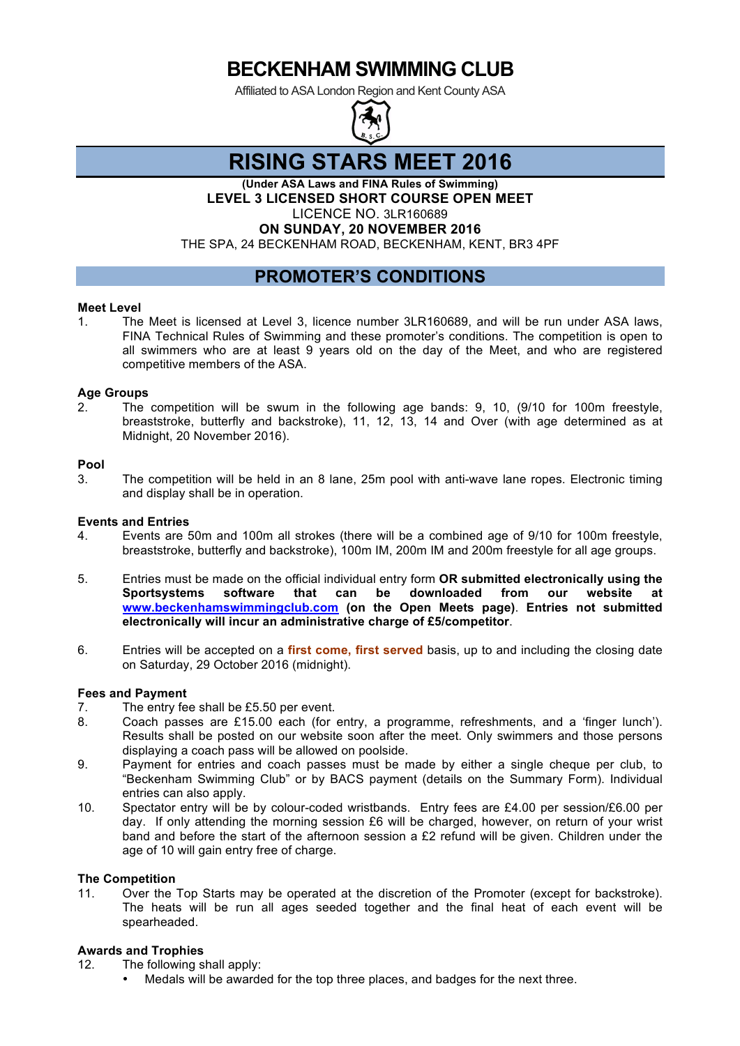Affiliated to ASA London Region and Kent County ASA



# **RISING STARS MEET 2016**

**(Under ASA Laws and FINA Rules of Swimming) LEVEL 3 LICENSED SHORT COURSE OPEN MEET** LICENCE NO. 3LR160689 **ON SUNDAY, 20 NOVEMBER 2016**

THE SPA, 24 BECKENHAM ROAD, BECKENHAM, KENT, BR3 4PF

## **PROMOTER'S CONDITIONS**

#### **Meet Level**

1. The Meet is licensed at Level 3, licence number 3LR160689, and will be run under ASA laws, FINA Technical Rules of Swimming and these promoter's conditions. The competition is open to all swimmers who are at least 9 years old on the day of the Meet, and who are registered competitive members of the ASA.

#### **Age Groups**

2. The competition will be swum in the following age bands: 9, 10, (9/10 for 100m freestyle, breaststroke, butterfly and backstroke), 11, 12, 13, 14 and Over (with age determined as at Midnight, 20 November 2016).

#### **Pool**

3. The competition will be held in an 8 lane, 25m pool with anti-wave lane ropes. Electronic timing and display shall be in operation.

#### **Events and Entries**

- 4. Events are 50m and 100m all strokes (there will be a combined age of 9/10 for 100m freestyle, breaststroke, butterfly and backstroke), 100m IM, 200m IM and 200m freestyle for all age groups.
- 5. Entries must be made on the official individual entry form **OR submitted electronically using the Sportsystems software that can be downloaded from our website at www.beckenhamswimmingclub.com (on the Open Meets page)**. **Entries not submitted electronically will incur an administrative charge of £5/competitor**.
- 6. Entries will be accepted on a **first come, first served** basis, up to and including the closing date on Saturday, 29 October 2016 (midnight).

### **Fees and Payment**

- 7. The entry fee shall be £5.50 per event.
- 8. Coach passes are £15.00 each (for entry, a programme, refreshments, and a 'finger lunch'). Results shall be posted on our website soon after the meet. Only swimmers and those persons displaying a coach pass will be allowed on poolside.
- 9. Payment for entries and coach passes must be made by either a single cheque per club, to "Beckenham Swimming Club" or by BACS payment (details on the Summary Form). Individual entries can also apply.
- 10. Spectator entry will be by colour-coded wristbands. Entry fees are £4.00 per session/£6.00 per day. If only attending the morning session £6 will be charged, however, on return of your wrist band and before the start of the afternoon session a £2 refund will be given. Children under the age of 10 will gain entry free of charge.

#### **The Competition**

11. Over the Top Starts may be operated at the discretion of the Promoter (except for backstroke). The heats will be run all ages seeded together and the final heat of each event will be spearheaded.

#### **Awards and Trophies**

- 12. The following shall apply:
	- Medals will be awarded for the top three places, and badges for the next three.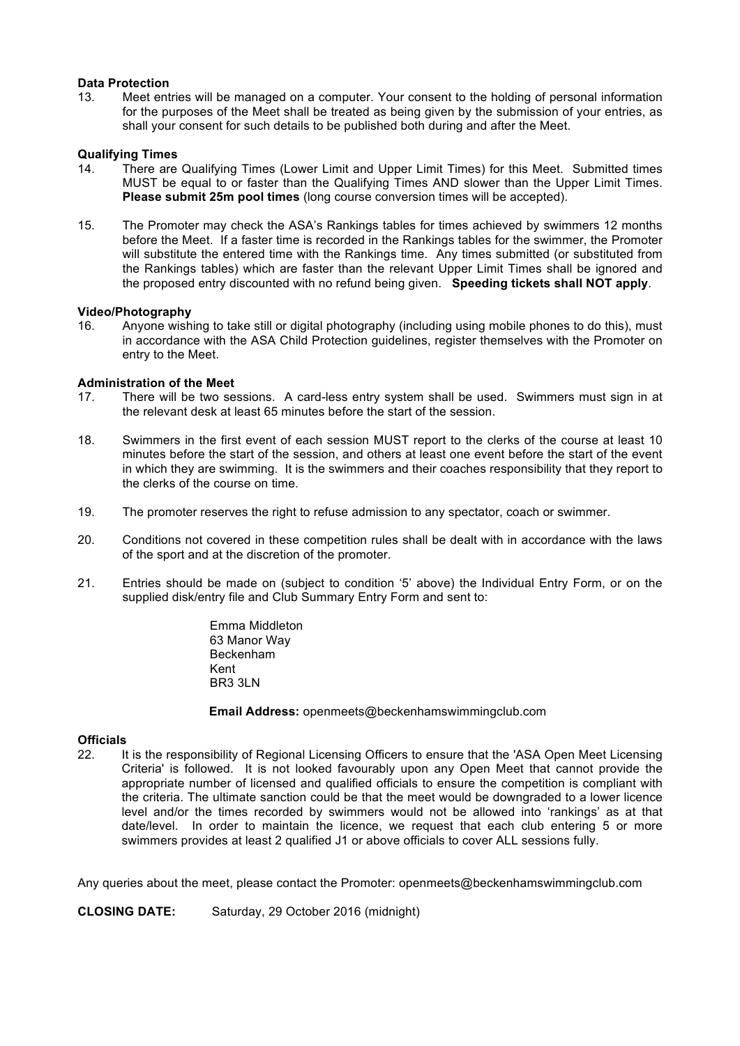#### **Data Protection**

13. Meet entries will be managed on a computer. Your consent to the holding of personal information for the purposes of the Meet shall be treated as being given by the submission of your entries, as shall your consent for such details to be published both during and after the Meet.

#### **Qualifying Times**

- 14. There are Qualifying Times (Lower Limit and Upper Limit Times) for this Meet. Submitted times MUST be equal to or faster than the Qualifying Times AND slower than the Upper Limit Times. **Please submit 25m pool times** (long course conversion times will be accepted).
- 15. The Promoter may check the ASA's Rankings tables for times achieved by swimmers 12 months before the Meet. If a faster time is recorded in the Rankings tables for the swimmer, the Promoter will substitute the entered time with the Rankings time. Any times submitted (or substituted from the Rankings tables) which are faster than the relevant Upper Limit Times shall be ignored and the proposed entry discounted with no refund being given. **Speeding tickets shall NOT apply**.

#### **Video/Photography**

16. Anyone wishing to take still or digital photography (including using mobile phones to do this), must in accordance with the ASA Child Protection guidelines, register themselves with the Promoter on entry to the Meet.

#### **Administration of the Meet**

- 17. There will be two sessions. A card-less entry system shall be used. Swimmers must sign in at the relevant desk at least 65 minutes before the start of the session.
- 18. Swimmers in the first event of each session MUST report to the clerks of the course at least 10 minutes before the start of the session, and others at least one event before the start of the event in which they are swimming. It is the swimmers and their coaches responsibility that they report to the clerks of the course on time.
- 19. The promoter reserves the right to refuse admission to any spectator, coach or swimmer.
- 20. Conditions not covered in these competition rules shall be dealt with in accordance with the laws of the sport and at the discretion of the promoter.
- 21. Entries should be made on (subject to condition '5' above) the Individual Entry Form, or on the supplied disk/entry file and Club Summary Entry Form and sent to:

Emma Middleton 63 Manor Way Beckenham Kent BR3 3LN

**Email Address:** openmeets@beckenhamswimmingclub.com

#### **Officials**

22. It is the responsibility of Regional Licensing Officers to ensure that the 'ASA Open Meet Licensing Criteria' is followed. It is not looked favourably upon any Open Meet that cannot provide the appropriate number of licensed and qualified officials to ensure the competition is compliant with the criteria. The ultimate sanction could be that the meet would be downgraded to a lower licence level and/or the times recorded by swimmers would not be allowed into 'rankings' as at that date/level. In order to maintain the licence, we request that each club entering 5 or more swimmers provides at least 2 qualified J1 or above officials to cover ALL sessions fully.

Any queries about the meet, please contact the Promoter: openmeets@beckenhamswimmingclub.com

**CLOSING DATE:** Saturday, 29 October 2016 (midnight)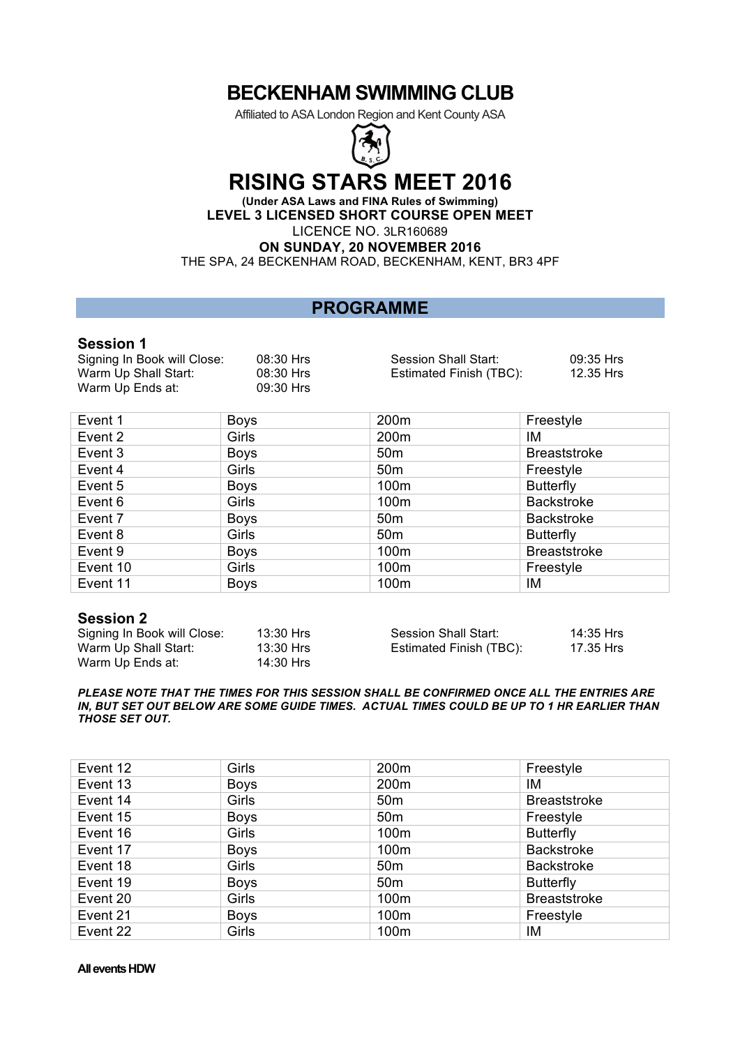Affiliated to ASA London Region and Kent County ASA



# **RISING STARS MEET 2016**

**(Under ASA Laws and FINA Rules of Swimming) LEVEL 3 LICENSED SHORT COURSE OPEN MEET** LICENCE NO. 3LR160689

**ON SUNDAY, 20 NOVEMBER 2016**

THE SPA, 24 BECKENHAM ROAD, BECKENHAM, KENT, BR3 4PF

## **PROGRAMME**

### **Session 1**

| Signing In Book will Close: | 08:30 Hrs |
|-----------------------------|-----------|
| Warm Up Shall Start:        | 08:30 Hrs |
| Warm Up Ends at:            | 09:30 Hrs |

rs **Session Shall Start:** 09:35 Hrs rs **Estimated Finish (TBC):** 12.35 Hrs

| Event 1  | <b>Boys</b> | 200m             | Freestyle           |
|----------|-------------|------------------|---------------------|
| Event 2  | Girls       | 200 <sub>m</sub> | IM                  |
| Event 3  | <b>Boys</b> | 50 <sub>m</sub>  | <b>Breaststroke</b> |
| Event 4  | Girls       | 50 <sub>m</sub>  | Freestyle           |
| Event 5  | <b>Boys</b> | 100m             | <b>Butterfly</b>    |
| Event 6  | Girls       | 100m             | <b>Backstroke</b>   |
| Event 7  | <b>Boys</b> | 50 <sub>m</sub>  | <b>Backstroke</b>   |
| Event 8  | Girls       | 50 <sub>m</sub>  | <b>Butterfly</b>    |
| Event 9  | <b>Boys</b> | 100m             | <b>Breaststroke</b> |
| Event 10 | Girls       | 100m             | Freestyle           |
| Event 11 | <b>Boys</b> | 100m             | IM                  |

### **Session 2**

| Signing In Book will Close: | 13:30 Hrs | Session Shall Start:    | 14:35 Hrs |
|-----------------------------|-----------|-------------------------|-----------|
| Warm Up Shall Start:        | 13:30 Hrs | Estimated Finish (TBC): | 17.35 Hrs |
| Warm Up Ends at:            | 14:30 Hrs |                         |           |

*PLEASE NOTE THAT THE TIMES FOR THIS SESSION SHALL BE CONFIRMED ONCE ALL THE ENTRIES ARE IN, BUT SET OUT BELOW ARE SOME GUIDE TIMES. ACTUAL TIMES COULD BE UP TO 1 HR EARLIER THAN THOSE SET OUT.* 

| Event 12 | Girls       | 200m             | Freestyle           |
|----------|-------------|------------------|---------------------|
| Event 13 | <b>Boys</b> | 200 <sub>m</sub> | ΙM                  |
| Event 14 | Girls       | 50 <sub>m</sub>  | <b>Breaststroke</b> |
| Event 15 | <b>Boys</b> | 50 <sub>m</sub>  | Freestyle           |
| Event 16 | Girls       | 100m             | <b>Butterfly</b>    |
| Event 17 | <b>Boys</b> | 100m             | <b>Backstroke</b>   |
| Event 18 | Girls       | 50 <sub>m</sub>  | <b>Backstroke</b>   |
| Event 19 | <b>Boys</b> | 50 <sub>m</sub>  | <b>Butterfly</b>    |
| Event 20 | Girls       | 100m             | <b>Breaststroke</b> |
| Event 21 | <b>Boys</b> | 100m             | Freestyle           |
| Event 22 | Girls       | 100m             | IM                  |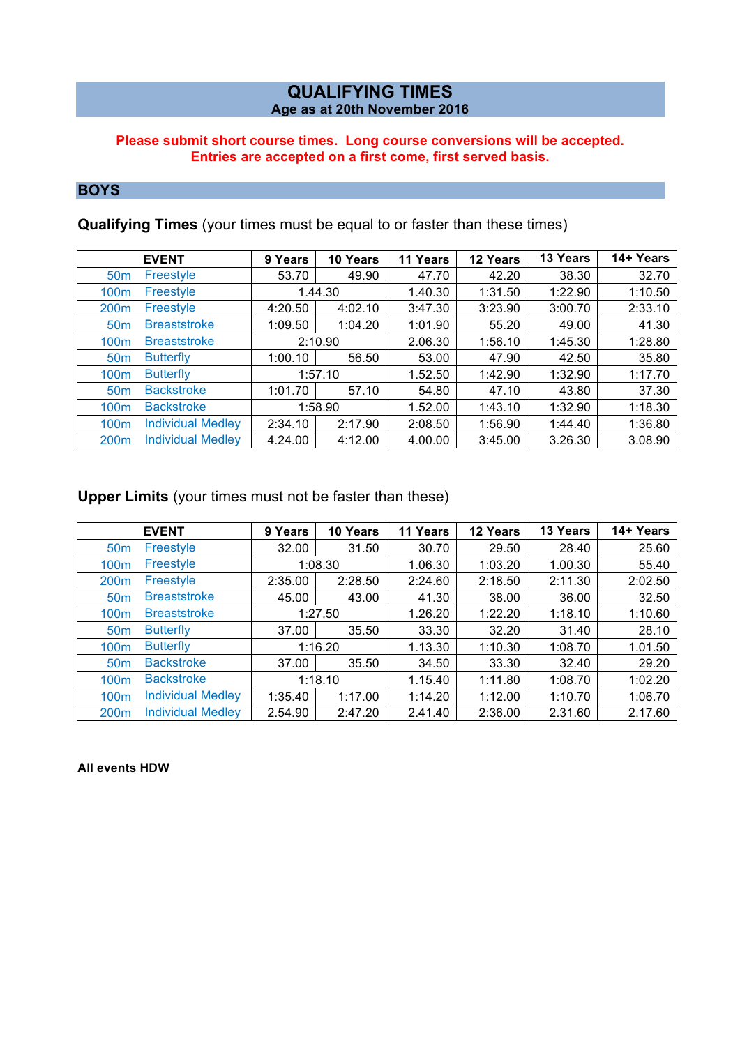## **QUALIFYING TIMES Age as at 20th November 2016**

### **Please submit short course times. Long course conversions will be accepted. Entries are accepted on a first come, first served basis.**

## **BOYS**

**Qualifying Times** (your times must be equal to or faster than these times)

|                  | <b>EVENT</b>             | 9 Years | 10 Years | 11 Years | 12 Years | 13 Years | 14+ Years |
|------------------|--------------------------|---------|----------|----------|----------|----------|-----------|
| 50 <sub>m</sub>  | Freestyle                | 53.70   | 49.90    | 47.70    | 42.20    | 38.30    | 32.70     |
| 100m             | Freestyle                |         | 1.44.30  | 1.40.30  | 1:31.50  | 1:22.90  | 1:10.50   |
| 200 <sub>m</sub> | Freestyle                | 4:20.50 | 4:02.10  | 3:47.30  | 3:23.90  | 3:00.70  | 2:33.10   |
| 50 <sub>m</sub>  | <b>Breaststroke</b>      | 1:09.50 | 1:04.20  | 1:01.90  | 55.20    | 49.00    | 41.30     |
| 100m             | <b>Breaststroke</b>      |         | 2:10.90  | 2.06.30  | 1:56.10  | 1:45.30  | 1:28.80   |
| 50 <sub>m</sub>  | <b>Butterfly</b>         | 1:00.10 | 56.50    | 53.00    | 47.90    | 42.50    | 35.80     |
| 100m             | <b>Butterfly</b>         |         | 1:57.10  | 1.52.50  | 1:42.90  | 1:32.90  | 1:17.70   |
| 50 <sub>m</sub>  | <b>Backstroke</b>        | 1:01.70 | 57.10    | 54.80    | 47.10    | 43.80    | 37.30     |
| 100 <sub>m</sub> | <b>Backstroke</b>        |         | 1:58.90  | 1.52.00  | 1:43.10  | 1:32.90  | 1:18.30   |
| 100m             | <b>Individual Medley</b> | 2:34.10 | 2:17.90  | 2:08.50  | 1:56.90  | 1:44.40  | 1:36.80   |
| 200 <sub>m</sub> | <b>Individual Medley</b> | 4.24.00 | 4:12.00  | 4.00.00  | 3:45.00  | 3.26.30  | 3.08.90   |

## **Upper Limits** (your times must not be faster than these)

|                  | <b>EVENT</b>             | 9 Years | 10 Years | 11 Years | 12 Years | 13 Years | 14+ Years |
|------------------|--------------------------|---------|----------|----------|----------|----------|-----------|
| 50 <sub>m</sub>  | Freestyle                | 32.00   | 31.50    | 30.70    | 29.50    | 28.40    | 25.60     |
| 100m             | Freestyle                |         | 1:08.30  | 1.06.30  | 1:03.20  | 1.00.30  | 55.40     |
| 200m             | Freestyle                | 2:35.00 | 2:28.50  | 2:24.60  | 2:18.50  | 2:11.30  | 2:02.50   |
| 50 <sub>m</sub>  | <b>Breaststroke</b>      | 45.00   | 43.00    | 41.30    | 38.00    | 36.00    | 32.50     |
| 100m             | <b>Breaststroke</b>      |         | 1:27.50  | 1.26.20  | 1:22.20  | 1:18.10  | 1:10.60   |
| 50 <sub>m</sub>  | <b>Butterfly</b>         | 37.00   | 35.50    | 33.30    | 32.20    | 31.40    | 28.10     |
| 100m             | <b>Butterfly</b>         |         | 1:16.20  | 1.13.30  | 1:10.30  | 1:08.70  | 1.01.50   |
| 50 <sub>m</sub>  | <b>Backstroke</b>        | 37.00   | 35.50    | 34.50    | 33.30    | 32.40    | 29.20     |
| 100m             | <b>Backstroke</b>        |         | 1:18.10  | 1.15.40  | 1:11.80  | 1:08.70  | 1:02.20   |
| 100m             | <b>Individual Medley</b> | 1:35.40 | 1:17.00  | 1:14.20  | 1:12.00  | 1:10.70  | 1:06.70   |
| 200 <sub>m</sub> | <b>Individual Medley</b> | 2.54.90 | 2:47.20  | 2.41.40  | 2:36.00  | 2.31.60  | 2.17.60   |

**All events HDW**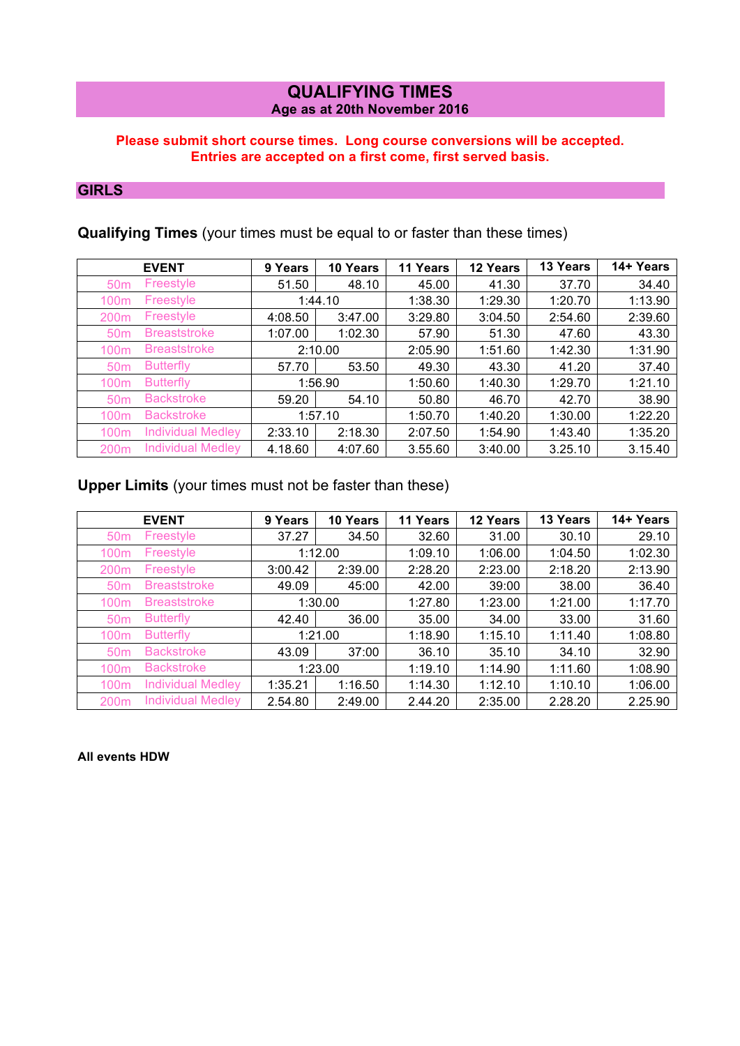### **QUALIFYING TIMES Age as at 20th November 2016**

### **Please submit short course times. Long course conversions will be accepted. Entries are accepted on a first come, first served basis.**

## **GIRLS**

## **Qualifying Times** (your times must be equal to or faster than these times)

|                  | <b>EVENT</b>             | 9 Years | 10 Years | 11 Years | 12 Years | 13 Years | 14+ Years |
|------------------|--------------------------|---------|----------|----------|----------|----------|-----------|
| 50 <sub>m</sub>  | Freestyle                | 51.50   | 48.10    | 45.00    | 41.30    | 37.70    | 34.40     |
| 100m             | Freestyle                |         | 1:44.10  | 1:38.30  | 1:29.30  | 1:20.70  | 1:13.90   |
| 200 <sub>m</sub> | Freestyle                | 4:08.50 | 3:47.00  | 3:29.80  | 3:04.50  | 2:54.60  | 2:39.60   |
| 50 <sub>m</sub>  | <b>Breaststroke</b>      | 1:07.00 | 1:02.30  | 57.90    | 51.30    | 47.60    | 43.30     |
| 100m             | <b>Breaststroke</b>      |         | 2:10.00  | 2:05.90  | 1:51.60  | 1:42.30  | 1:31.90   |
| 50 <sub>m</sub>  | <b>Butterfly</b>         | 57.70   | 53.50    | 49.30    | 43.30    | 41.20    | 37.40     |
| 100m             | <b>Butterfly</b>         |         | 1:56.90  | 1:50.60  | 1:40.30  | 1:29.70  | 1:21.10   |
| 50 <sub>m</sub>  | <b>Backstroke</b>        | 59.20   | 54.10    | 50.80    | 46.70    | 42.70    | 38.90     |
| 100m             | <b>Backstroke</b>        | 1:57.10 |          | 1:50.70  | 1:40.20  | 1:30.00  | 1:22.20   |
| 100 <sub>m</sub> | <b>Individual Medley</b> | 2:33.10 | 2:18.30  | 2:07.50  | 1:54.90  | 1:43.40  | 1:35.20   |
| 200m             | <b>Individual Medley</b> | 4.18.60 | 4:07.60  | 3.55.60  | 3:40.00  | 3.25.10  | 3.15.40   |

## **Upper Limits** (your times must not be faster than these)

|                  | <b>EVENT</b>             | 9 Years | 10 Years | 11 Years | 12 Years | 13 Years | 14+ Years |
|------------------|--------------------------|---------|----------|----------|----------|----------|-----------|
| 50 <sub>m</sub>  | Freestyle                | 37.27   | 34.50    | 32.60    | 31.00    | 30.10    | 29.10     |
| 100m             | Freestyle                |         | 1:12.00  | 1:09.10  | 1:06.00  | 1:04.50  | 1:02.30   |
| 200 <sub>m</sub> | Freestyle                | 3:00.42 | 2:39.00  | 2:28.20  | 2:23.00  | 2:18.20  | 2:13.90   |
| 50 <sub>m</sub>  | <b>Breaststroke</b>      | 49.09   | 45:00    | 42.00    | 39:00    | 38.00    | 36.40     |
| 100m             | <b>Breaststroke</b>      |         | 1:30.00  | 1:27.80  | 1:23.00  | 1:21.00  | 1:17.70   |
| 50 <sub>m</sub>  | <b>Butterfly</b>         | 42.40   | 36.00    | 35.00    | 34.00    | 33.00    | 31.60     |
| 100 <sub>m</sub> | <b>Butterfly</b>         |         | 1:21.00  | 1:18.90  | 1:15.10  | 1:11.40  | 1:08.80   |
| 50 <sub>m</sub>  | <b>Backstroke</b>        | 43.09   | 37:00    | 36.10    | 35.10    | 34.10    | 32.90     |
| 100 <sub>m</sub> | <b>Backstroke</b>        |         | 1:23.00  | 1:19.10  | 1:14.90  | 1:11.60  | 1:08.90   |
| 100m             | <b>Individual Medley</b> | 1:35.21 | 1:16.50  | 1:14.30  | 1:12.10  | 1:10.10  | 1:06.00   |
| 200m             | <b>Individual Medley</b> | 2.54.80 | 2:49.00  | 2.44.20  | 2:35.00  | 2.28.20  | 2.25.90   |

### **All events HDW**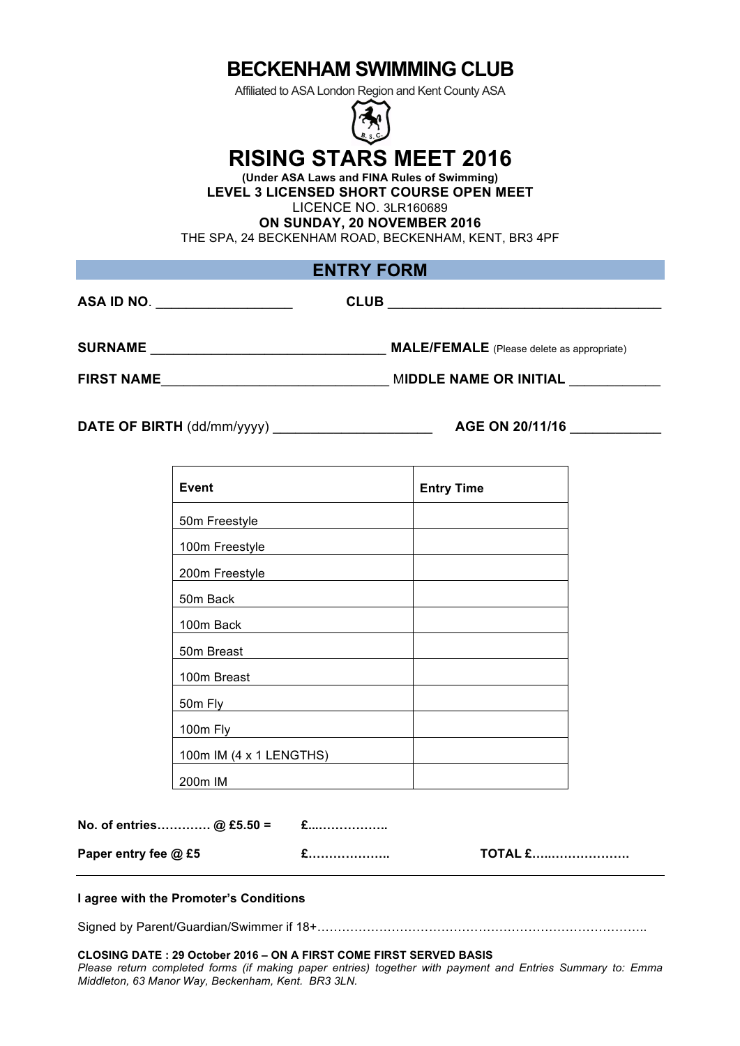Affiliated to ASA London Region and Kent County ASA



# **RISING STARS MEET 2016**

**(Under ASA Laws and FINA Rules of Swimming) LEVEL 3 LICENSED SHORT COURSE OPEN MEET** LICENCE NO. 3LR160689

**ON SUNDAY, 20 NOVEMBER 2016**

THE SPA, 24 BECKENHAM ROAD, BECKENHAM, KENT, BR3 4PF

## **ENTRY FORM**

| ASA ID NO.        | <b>CLUB</b>                                       |
|-------------------|---------------------------------------------------|
| <b>SURNAME</b>    | <b>MALE/FEMALE</b> (Please delete as appropriate) |
| <b>FIRST NAME</b> | <b>MIDDLE NAME OR INITIAL</b>                     |

**DATE OF BIRTH** (dd/mm/yyyy) \_\_\_\_\_\_\_\_\_\_\_\_\_\_\_\_\_\_\_\_\_ **AGE ON 20/11/16** \_\_\_\_\_\_\_\_\_\_\_\_

| <b>Event</b>            | <b>Entry Time</b> |
|-------------------------|-------------------|
| 50m Freestyle           |                   |
| 100m Freestyle          |                   |
| 200m Freestyle          |                   |
| 50m Back                |                   |
| 100m Back               |                   |
| 50m Breast              |                   |
| 100m Breast             |                   |
| 50m Fly                 |                   |
| 100m Fly                |                   |
| 100m IM (4 x 1 LENGTHS) |                   |
| 200m IM                 |                   |

| No. of entries@ £5.50 =                                                                                                                                                                                                       | $E$ |                |
|-------------------------------------------------------------------------------------------------------------------------------------------------------------------------------------------------------------------------------|-----|----------------|
| Paper entry fee @ £5                                                                                                                                                                                                          |     | <b>TOTAL £</b> |
| . It is a state of the final contract of the contract of the state of the state of the state of the state of the state of the state of the state of the state of the state of the state of the state of the state of the stat |     |                |

### **I agree with the Promoter's Conditions**

Signed by Parent/Guardian/Swimmer if 18+……………………………………………………………………..

#### **CLOSING DATE : 29 October 2016 – ON A FIRST COME FIRST SERVED BASIS**

*Please return completed forms (if making paper entries) together with payment and Entries Summary to: Emma Middleton, 63 Manor Way, Beckenham, Kent. BR3 3LN.*